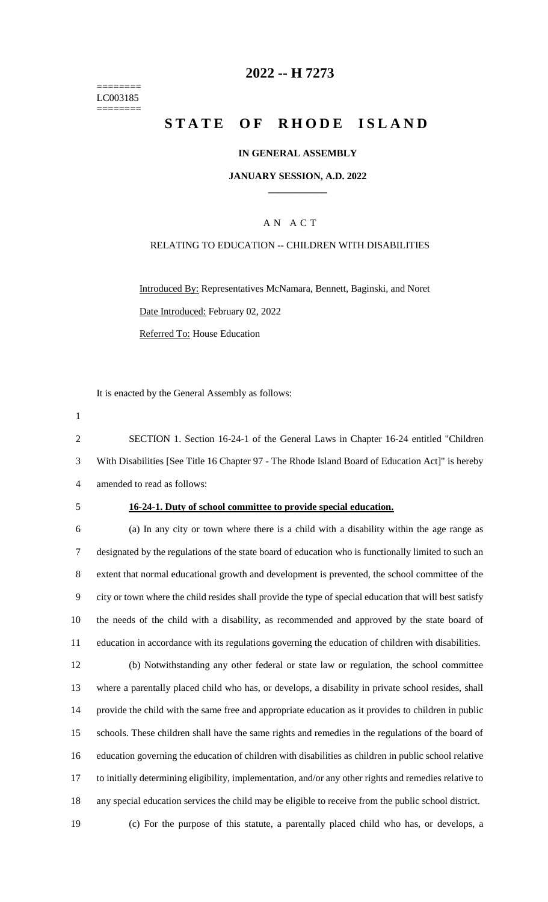======== LC003185 ========

# **-- H 7273**

# **STATE OF RHODE ISLAND**

### **IN GENERAL ASSEMBLY**

### **JANUARY SESSION, A.D. 2022 \_\_\_\_\_\_\_\_\_\_\_\_**

## A N A C T

### RELATING TO EDUCATION -- CHILDREN WITH DISABILITIES

Introduced By: Representatives McNamara, Bennett, Baginski, and Noret Date Introduced: February 02, 2022 Referred To: House Education

It is enacted by the General Assembly as follows:

 SECTION 1. Section 16-24-1 of the General Laws in Chapter 16-24 entitled "Children With Disabilities [See Title 16 Chapter 97 - The Rhode Island Board of Education Act]" is hereby amended to read as follows:

### **16-24-1. Duty of school committee to provide special education.**

 (a) In any city or town where there is a child with a disability within the age range as designated by the regulations of the state board of education who is functionally limited to such an extent that normal educational growth and development is prevented, the school committee of the city or town where the child resides shall provide the type of special education that will best satisfy the needs of the child with a disability, as recommended and approved by the state board of education in accordance with its regulations governing the education of children with disabilities.

 (b) Notwithstanding any other federal or state law or regulation, the school committee where a parentally placed child who has, or develops, a disability in private school resides, shall provide the child with the same free and appropriate education as it provides to children in public schools. These children shall have the same rights and remedies in the regulations of the board of education governing the education of children with disabilities as children in public school relative to initially determining eligibility, implementation, and/or any other rights and remedies relative to any special education services the child may be eligible to receive from the public school district.

(c) For the purpose of this statute, a parentally placed child who has, or develops, a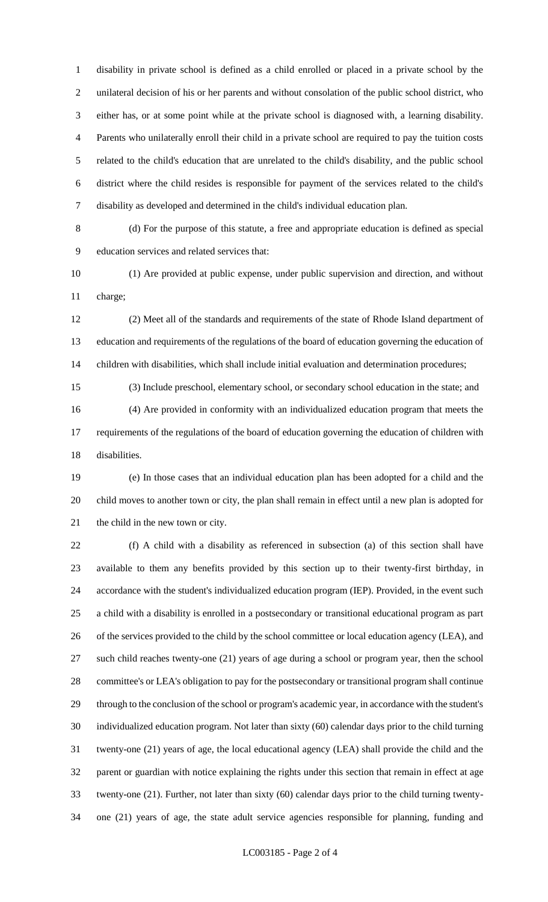disability in private school is defined as a child enrolled or placed in a private school by the unilateral decision of his or her parents and without consolation of the public school district, who either has, or at some point while at the private school is diagnosed with, a learning disability. Parents who unilaterally enroll their child in a private school are required to pay the tuition costs related to the child's education that are unrelated to the child's disability, and the public school district where the child resides is responsible for payment of the services related to the child's disability as developed and determined in the child's individual education plan.

 (d) For the purpose of this statute, a free and appropriate education is defined as special education services and related services that:

 (1) Are provided at public expense, under public supervision and direction, and without charge;

 (2) Meet all of the standards and requirements of the state of Rhode Island department of education and requirements of the regulations of the board of education governing the education of children with disabilities, which shall include initial evaluation and determination procedures;

(3) Include preschool, elementary school, or secondary school education in the state; and

 (4) Are provided in conformity with an individualized education program that meets the requirements of the regulations of the board of education governing the education of children with disabilities.

 (e) In those cases that an individual education plan has been adopted for a child and the child moves to another town or city, the plan shall remain in effect until a new plan is adopted for the child in the new town or city.

 (f) A child with a disability as referenced in subsection (a) of this section shall have available to them any benefits provided by this section up to their twenty-first birthday, in accordance with the student's individualized education program (IEP). Provided, in the event such a child with a disability is enrolled in a postsecondary or transitional educational program as part of the services provided to the child by the school committee or local education agency (LEA), and such child reaches twenty-one (21) years of age during a school or program year, then the school committee's or LEA's obligation to pay for the postsecondary or transitional program shall continue through to the conclusion of the school or program's academic year, in accordance with the student's individualized education program. Not later than sixty (60) calendar days prior to the child turning twenty-one (21) years of age, the local educational agency (LEA) shall provide the child and the parent or guardian with notice explaining the rights under this section that remain in effect at age twenty-one (21). Further, not later than sixty (60) calendar days prior to the child turning twenty-one (21) years of age, the state adult service agencies responsible for planning, funding and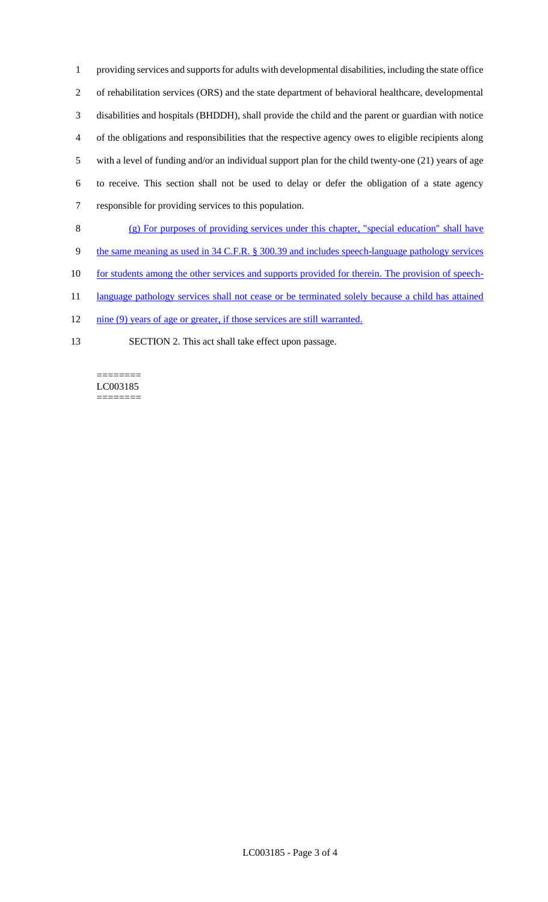providing services and supports for adults with developmental disabilities, including the state office of rehabilitation services (ORS) and the state department of behavioral healthcare, developmental disabilities and hospitals (BHDDH), shall provide the child and the parent or guardian with notice of the obligations and responsibilities that the respective agency owes to eligible recipients along with a level of funding and/or an individual support plan for the child twenty-one (21) years of age to receive. This section shall not be used to delay or defer the obligation of a state agency responsible for providing services to this population.

- 8 (g) For purposes of providing services under this chapter, "special education" shall have
- 9 the same meaning as used in 34 C.F.R. § 300.39 and includes speech-language pathology services
- 10 for students among the other services and supports provided for therein. The provision of speech-
- 11 language pathology services shall not cease or be terminated solely because a child has attained
- 12 nine (9) years of age or greater, if those services are still warranted.
- 13 SECTION 2. This act shall take effect upon passage.

#### ======== LC003185 ========